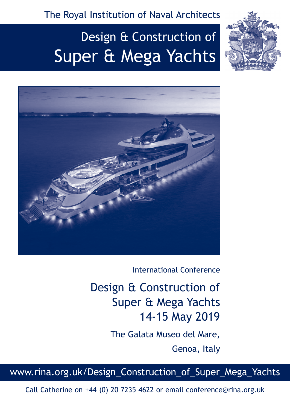The Royal Institution of Naval Architects

# Design & Construction of Super & Mega Yachts





International Conference

Design & Construction of Super & Mega Yachts 14-15 May 2019

The Galata Museo del Mare,

Genoa, Italy

www.rina.org.uk/Design\_Construction\_of\_Super\_Mega\_Yachts

Call Catherine on +44 (0) 20 7235 4622 or email conference@rina.org.uk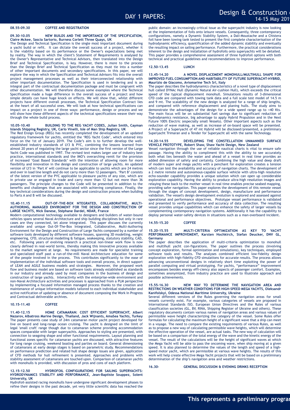#### **08.55-09.30 COFFEE AND REGISTRATION**

## **09.30-10.05 NEW BUILDS AND THE IMPORTANCE OF THE SPECIFICATION, Claire Mckee, Sascia Sartorio, Burness Corlett Three Quays, UK**

The Design and Technical Specification is the single most important document during a yacht build or refit. It can dictate the overall success of a project, whether it is the viability based on its performance or the Owner's expectations being met by reality. The way in which the client's Statement of Requirements is analysed by the Owner's Representative and Technical Advisors, then translated into the Design Brief and Technical Specification, is key. However, there is more to the process than the Design Brief and Technical Specification as they must tie into a number of other important documents and secondary specifications. In this paper, we will explore the way in which the Specification and Technical Advisors fits into the overall project management processes as well as their interconnected relationship with other important documentation. The Specification is used in tendering and is an integral part of the contractual documentation package and must be congruent with other documentation. We will therefore discuss some examples where the Technical Specification made a huge difference in the overall success of a project and how simple details can have huge knock on effects. We will show that, whilst different projects have different overall processes, the Technical Specification Contract lies at the heart of all successful ones. We will look at how technical specifications can impact on a project in one of three ways: performance, design or process and we will show how these different aspects of the technical specifications weave their way through the whole build process.

# **10.05-10.40 BUILDING TO THE REG YACHT CODES, Julian Smith, Cayman Islands Shipping Registry, UK, Carlo Vinelli, Isle of Man Ship Registry, UK**

The Red Ensign Group (REG) has recently completed the development of an updated regulatory framework for yachts, entitled the 'REG Yacht Code', which entered into force on the 1st of January 2019. The Code's aim is to further develop the wellestablished industry standards of LY3 & PYC, combining the lessons learned from almost 20 years of regulating the large yacht sector since the first version of the Large Yacht Code was published in 1997. The revised text makes larger use of industry best practice, international standards and the IMO's overarching remit for the provision of increased 'Goal Based Standards' with the intention of allowing room for more flexibility and innovation in the design and construction of large yachts. An updated version of LY3 in 'Part A' will continue to be applicable to yachts which are 24 metres and over in load line length and do not carry more than 12 passengers. 'Part B' consists of the latest version of the PYC applicable to pleasure yachts of any size, which are in private use or engaged in trade and carry more than 12 but not more than 36 passengers. The principle changes to the Code will be presented in addition to the benefits and challenges that are associated with achieving compliance. Finally, the key technical considerations during the design and construction process when building to Parts A and B will be discussed.

#### **10.40-11.15 OUT-OF-THE-BOX NTEGRATED, COLLABORATIVE, MULTI-AUTHORING, MANAGED ENVIROMENT FOR THE DESIGN AND CONSTRUCTION OF LARGE YACHTS, Nick Danese, Stéphane Dardel, NDAR, France**

Modern computational technology available to designers and builders of water-bound vehicles spans several Naval Architecture and ship building disciplines but only in rare cases are they connected, let alone integrated. This paper discuses the currently available and unique Out-Of-The-Box Integrated, Collaborative, Multi-Authoring Environment for the Design and Construction of Large Yachts composed by a number of software tools developed by different software houses, spanning 3D modelling, weight engineering, CFD, structural modelling & fatigue, seakeeping, statutory stability, CAD, etc. Following years of evolving research a practical non-linear work flow is now clearly defined in real-world terms, thereby making this innovative process available to the market segment at large. No requirements are made for specialist training and specialized staff past a run-of-the-mill Naval Architecture education for some of the people involved in the process. This contributes significantly to the ease of implementation of the individual software tools and overall process, in direct support of LEAN and AGILE business models and strategies. Moreover, the proposed work flow and business model are based on software tools already established as standards in our industry and already used by most companies in the business of design and construction of large yachts. Interactivity with the enterprise-wide environment and non-Naval Architecture activities and processes is approached from a PLM perspective by implementing a focused information managed process thanks to the creation and maintenance of unique information models tailored to each individual stakeholder and active notification of updating or absence of document composing the Work In Progress and Contractual deliverable archives.

## **10.15-11.40 COFFEE**

**11.40-12.15 HOME CATAMARAN: COST EFFICIENT SUPERYACHT, Albert Nazarov, Albatross Marine Design, Thailand, Jack Wijnants, AmaSea Yachts, Turkey** The paper presents case study of 24m catamaran motor yacht project developed for live on board and long-range ocean cruising. The yacht is designed on the limit of legal 'small craft' range though due to catamaran scheme providing accommodation spaces comparable with larger superyachts. Approaches to styling are presented, with connection to seagoing shape and other functional requirements. Layout planning and functional zones specific for catamaran yachts are discussed, with attractive features for long range cruising, weekend boating and parties on board. General dimensioning of catamarans at early design stages is based on parametric study. Recommendations on performance prediction and related hull shape design issues are given, application of CFD methods for hull refinement is presented. Approaches and problems with CFD methods for hull refinement is presented. Approaches and problems with stability assessment of catamarans are touched upon. Comparison of catamaran yachts with monohulls is provided, with discussion of pros and cons of each platform.

## **12.15-12.50 HYDROFOIL CONFIGURATIONS FOR SAILING SUPERYACHTS: HYDRODYNAMICS STABILITY AND PERFORMANCE, Jean-Baptiste Souppez, Solent University, UK**

Hydrofoil-assisted racing monohulls have undergone significant development phases to refine their designs in the past decade, yet very little scientific data has reached the public domain: an increasingly critical issue as the superyacht industry is now looking at the implementation of foils onto leisure vessels. Consequently, three contemporary configurations, namely a Dynamic Stability System, a Dali-Moustache and a Chistera foil have been towing tank tested to present the first complete characterisation of the hydrodynamic efficiency, quantification of the added dynamic stability and eventually the resulting impact on sailing performance. Furthermore, the practical considerations inherent to the design and installation of hydrofoils onto superyachts will be detailed. This paper provides a comprehensive assessment of three hydrofoil options with both technical and practical guidelines and recommendations to improve performance.

# **12.50-13.45 LUNCH**

## **13.45-14.20 A NOVEL DISPLACEMENT MONOHULL/MULTIHULL SHAPE FOR IMPROVED FUEL CONSUMPTION AND HABITABILITY OF FUTURE SUPERYACHT-HYBRID, Maurizio de Giacomo, Aviomarine Tech Srl, Italy**

The paper describes the hydrodynamics characteristics of a novel type of displacement hull called DYNAc Hull (Dynamic Natural Air-cushion Hull), which exceeds the critical speed of the typical displacement monohull. Simulations results of 3-dimensional CFD code are compared with towing tank data and a full scale test model of 14.5 m and 9 mt. The scalability of the new design is analyzed for a range of ship lengths, and compared with reference displacement and planing hulls. The study aims to demonstrate the advantages of the design for a wide speed range up to +40 Kts. The main focus will be on substantial fuel savings due to significant reduction of hydrodynamics resistance, big advantage to apply Hybrid Propulsion and in the Next Future 100% Electric (especially small Vessels). Other important aspects such as the reduction of wave making, as well as increase of on-board space will be presented. A Project of a Superyacht of 47 mt Hybrid will be disclosed/presented, a preliminary Superyacht Trimaran and a Tender for Superyacht all with the same Technology.

## **14.20-14.55 DEVELOPING THE CONSTELLATION UNMANNED SURFACE VEHICLE PROTOTYPE, Robert Shaw, Shaw Yacht Design, New Zealand**

Vessel navigation through the use of reliable nautical charts is vital to ensure safe passage. Having the ability to compliment this with the ability to see accurately both what lies beneath the water and ahead of a vessel in real time provides an added dimension of safety and certainty. Combining the high value and deep draft of modern super and mega yachts with a penchant for exploration creates a tension which can test the availability and accuracy of navigation charts. The development of a 2 metre remote and autonomous-capable surface vehicle with ultra-high resolution echo-sounder capability provides a unique solution which can open up considerable exploration capability. Having the ability to produce ultra-high resolution images and relaying these back to the mother vessel in real time enables precise seabed mapping, providing safer navigation. This paper explores the development of this remote vessel through the stages of concept development, design, manufacture and performance validation. The vessel's design development evolution is explored and assessed against operational and performance objectives. Prototype vessel performance is validated and presented to verify performance and accuracy of data collection. The resulting vessel provides unique capabilities which can enhance the safety of larger vessels by complementing contemporary navigation systems. Additionally it has the capability to deploy personal water-safety devices in situations such as a man-overboard incident.

# **14.55-15.20 COFFEE**

#### **15.20-15.55 MULTI-CRITERIA OPTIMIZATION AS KEY TO YACHT PERFORMANCE IMPROVEMENT, Karsten Hochkirch, Stefan Deucker, DNV GL, Germany**

The paper describes the application of multi-criteria optimization to monohull and multihull yacht con-figurations. The paper outlines the process (involving concept exploration, formal optimization and simulations), key techniques, employed software tools and results. The analyses combined efficient low-fidelity design exploration with high-fidelity CFD simulations for accurate results. The process allows advancing unconventional designs in relatively short time exploiting the power of parallel computing and virtual prototyping. For yachts, "performance" improvement encompasses besides energy effi-ciency also aspects of passenger comfort. Examples, sometimes anonymized, from industry practice are used to illustrate approach and possible achievements.

## **15.55-16.30 NEW WAY TO DETERMINE THE NAVIGATION AREA AND**  RESTRICTIONS ON WEATHER CONDITIONS FOR HIGH-SPEED MEGA YACHTS, Oleksandr **Kanifolskyi, Odessa National Maritime University, Ukraine**

Several different versions of the Rules governing the navigation areas for small vessels currently exist. For example, various categories of vessels are proposed in International Standards ISO, European Union Directives and the Rules of various classification societies (GL, BV, RINA, Shipping Register of Ukraine and others). These regulatory documents contain various names of navigation areas and various values of permissible wave height characterizing the category of the vessel. Some Rules offer formulas for calculating the maximum height of a significant wave that a ship can meet in a voyage. The need to compare the existing requirements of various Rules, as well as to propose a new way of calculating permissible wave heights, which will determine the effective operation of the vessel, are actual tasks. The new way of calculation will be based on a comparison of the total energy of the wave and the kinetic energy of the vessel. The result of the calculations will be the height of significant waves at which the Mega Yacht will be able to pass the oncoming wave, when ship moving at a given speed. It is also planned to determine the values of the length and speed of a highspeed motor yacht, which are permissible at various wave heights. The results of this work will help create effective Mega Yacht projects that will be based on a preliminary determination of the ship's navigation area and weather restrictions.

**16.30- GENERAL DISCUSSION & EVENING DRINKS RECEPTION**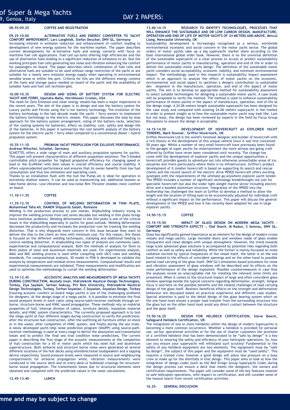# **08.55-09.25 COFFEE AND REGISTRATION**

**09.25-10.00 ALTERNATIVE FUELS AND ENERGY CONVERTER TO YACHT COMFORT IMPROVEMENT, Lars Langfeldt, Stefan Deucker, DNV GL, Germany**

Increasing interest in emission reduction and enhancement of comfort leading to development of new energy systems for the maritime market. The paper describes current developments for al-ternative fuels and energy converts with focus on maritime fuel cell applications. Fuel cell sys-tems offering high efficiencies and the use of alternative fuels leading to a significant reduction of emissions to air. Due the working principals fuel cells generating less noise and vibration enhancing the comfort for passengers on board. The paper describes which combination of fuel cells and alternative fuels are suitable to be used without range restriction of the yacht or are suitable for a nearly zero emission energy supply when operating in environmental sensible areas or within the port. Criteria for this are the different energy content of the fuels and storage space needed on board of the yacht and the availability of suitable fuels and fuel cell technolo-gies.

## **10.00-10.35 DESIGN AND SIZING OF BATTERY SYSTEM FOR ELECTRIC YACHT AND FERRY, Upendra Malla, Hornblower Cruises, USA**

The need for Zero Emission and clean energy vessels has been a major importance in the recent years. The aim of the paper is to design and size the battery system for Luxury yachts and Ferries using the Li-ion battery technology. The evolution of the battery technology in the last decade made the yacht / ferry owners to implement the battery technology to the electric vessels. This paper discusses the step by step approach for the battery system arrangement, sizing of the battery racks, selection of the cooling systems for batteries, effect on stability, cost, safety and design life of the batteries. In this paper it summarizes the cost benefit analysis of the battery system for the electric yacht / ferry when compared to a conventional diesel / hybrid propulsion system.

## **10.35-11.10 PREMIUM YACHT PROPULSION FOR EXLUSIVE PERFORMANCE, Andreas Witschel, Schottel, Germany**

SCHOTTEL offers a wide range of main and auxiliary propulsion systems for yachts. This paper will present characteristics of different propulsion solutions: The 5-bladed controllable pitch propeller for highest propulsive efficiency for changing speed or load or the EcoPeller with best values in overall efficiency and course stability. It offers unprecedented performance and ensures that its owner benefits from low fuel consumption and thus low emissions and operating costs.

Thanks to an installation flush with the hull the Pump-Jet is ideal for operation in extremely shallow waters. It can be used as maneuvering aid, additional booster or take-home device. Low-vibration and low-noise Rim Thruster enables more comfort on board.

# **11.10-11.35 COFFEE**

## **11.35-12.10 CONTROL OF WELDING DEFORMATION IN THIN PLATE, Muhammad Taha Ali, DAMEN Shipyards Galati, Romania**

Welding is the production process to join metals. Shipbuilding industry trying to improve the welding process from last seven decades but welding in thin plate brings more nonlinear problems. Welding deformation in the thin plate is one of the critical issues in the shipbuilding especially in yachts for good outlook. Welding deformation decreases the productivity and increases the production cost for treating the welding distortion. That is why shipyards more concern in this issue because they want to deliver the ship to the client on time with minimum cost. For this reason, this thesis is focused on the different welding techniques, clamping and additional heating to control welding distortion. In shipbuilding two types of analysis are commonly used, experimental and computational analysis. Both the methods of analysis for 5mm to 8mm plates of steel and aluminium materials are used. For experimental analysis, MAG and MIG welding process is used while compiling with IACS rules and welding standards. For computational analysis, 30 model in FEM is developed to validate the analysis by temperature and residual stress measurements. Computational results and experimental measurements are validated. These measurements and modification are used to optimize the methodology to curtail the welding deformation.

**12.10-12.45 ACCOUSTIC ANALYSIS AND MEASUREMENTS OF MEGA YACHTS DURING CONSTRUCTION, Mustafa Insel, Hidroteknik Nautical Design Technologies, Turkey, Ziya Saydam, Serhan Gokcay, Piri Reis University, Hidroteknik Nautical Design Technologies, Turkey, Turhan Soyaslan, C Soyaslan, Soyaslan Design, Turkey** Ensuring acoustic comfort on-board mega yachts is one of the challenging problems for designers. At the design stage of a mega yacht, it is possible to estimate the final sound pressure levels in each cabin using source-path-receiver methods through airborne, structure-borne and HVAC sound propagation. These methods rely on material properties of hull, internal division of cabins, furniture details, insulation material details, and HVAC system characteristics. The currently proposed approach is to test the mega yacht at four different stages during construction to verify the predictions: after the structural hull construction, after the outfitting all furniture either on shore or in the water, after completion of HVAC system, and finally during the sea trials. A newly developed yacht/ship noise prediction program (SNoPP) using source-pathreceiver methodology is used at every stage to derive the absorption and transmission losses and to predict the final sea trial condition noise predictions. The current paper is describing the first stage of the acoustic measurements at the completion of hull construction for a 65 m motor yacht which has steel hull and aluminium superstructure. Both airborne and structure borne noise were generated at several different locations of the hull decks using omnidirectional loudspeakers and a tapping device respectively. Sound pressure levels were measured in source and neighbouring compartments for airborne propagation while, vibration measurements were conducted in the source deck and at every deck or bulkhead crossings for structureborne sound propagation. The transmission losses due to structural elements were obtained and compared with the predicted values in the noise calculations.

**12.45-13.40 LUNCH**

## **13.40-14.15 RESEARCH TO IDENTIFY TECHNOLOGIES, PROCESSES THAT WILL ENHANCE THE SUSTAINABLE AND OR LOW CARBON DESIGN, MANUFACTURE, OPERATION AND END OF LIFE OF MOTOR YACHTS OF 24 METERS AND ABOVE, Mincui Liang, Newcastle University, UK**

Sustainability development is increasingly recognized as a serious, worldwide environmental economic and social concern in the motor yacht sector. The global orders of motor yachts take up a big superyacht market share according to the boat international global order book. However, there is no the universal definition of the sustainable superyacht or a clear process to access or predict sustainability performance of motor yachts in manufacturing, operation and end of life in order to deliver the sustainable motor yacht design. The definition of the sustainable motor yacht considers social acceptability, economic viability, and minimum environmental impact. The methodology used in this research is sustainability impact assessment which is an approach to analyze the effect of motor yachts on the economic, environmental and social aspect to optimize a design's contribution to sustainable dev elopment in the manufacture, operation, and end of life aspect of motor yachts. The aim is to develop an appropriate method for sustainability assessment to select suitable technologies for designing a sustainable motor yacht. A case study will be proposed to verify the method. The method is used to enhance sustainability performance of motor yachts in the aspect of manufacture, operation, end of life at the design stage. A 24.06 meters length sustainable superyacht has been designed for the case study and compared with existing 24.06 meters superyacht in the market in order to present insight as to how the sustainable motor yacht may look like. Last but not least, the design has been reviewed by experts in the field by Focus Group Discussions to ensure the design is acceptable.

# **14.15-14.50 DEVELOPMENT OF HOVERCRAFT AS EXPLORER YACHT TENDERS, Mark Downer, Griffon Hoverwork, UK**

Griffon Hoverwork Ltd is the world's foremost designer and builder of hovercraft with a rich history in the development of this unique vehicle since it was first conceived 50 years ago. Whilst a number of very small hovercraft have previously been found in the garages of super yachts for entertainment the more serious sea-going craft offered by Griffon have never been considered until recently. The change has come with the development of explorer yachts and the unique opportunities a hovercraft provides guests to adventure out into otherwise unreachable areas of ice, estuaries and rivers particularly where there is no infrastructure. Griffon's product development of it smaller hovercraft is based on supporting its search and rescue clients and the recent launch of the electric drive 995ED hovercraft offers exciting synergies with the requirements of the ultimate go-anywhere explorer yacht tender. The 995ED includes a number of significant technology breakthroughs not just for specialist hovercraft but also the wider light-weight marine sector including electric drive and a bonded aluminium structure. Integration of the 995ED into the mothership has challenged the team at Griffon to develop a method to allow the length and the location of lifting eyes to be economically adjusted for individual craft without a significant impact on the performance. This paper will discuss the general development of the 995ED and how it has recently been adapted for use in large explorer yachts.

# **14.50-15.15 COFFEE**

## 15.15-15.50 **IMPACT OF GLASS DESIGN ON MODERN MEGA YACHTS COMFORT AND STRENGTH ASPECTS -, Olaf Doerk, M Radon, S Semrau, DNV GL, Germany**

Glass has significantly gained importance as an element for the design of modern cruise vessels and mega yachts. Large movable doors and windows made of glass enable transparent and clean designs with unique atmosphere. However, the trend towards large scale advanced glass solutions is accompanied by potential risks regarding both comfort as well as safety and reliability. While the former is mainly focussed on noise radiation excited by typical frequencies of the vessel itself, the latter is on the one hand related to the effects of coincident openings and on the other hand to possible partial load carrying of the glass itself. DNV GL's simulation-based procedure for noise and vibration assessment of glass windows will be described and its effects on the noise performance of the design explained. Possible countermeasures in case that the analyses reveal an unacceptable risk for violating the relevant noise limits are presented. When it comes to the structural impact of large and often coincident glass window openings beside the typical concerns regarding deformation, strength, fatigue focus is laid here on the possible benefits and the related challenges of load carrying design of the glass itself. Realistic beneficial effects on the strength and deformation behaviour are discussed based on practical experience and different case studies. Special attention is paid to the detail design of the glass bearing system which on the one hand must ensure a proper load transfer from the surrounding structure into the glass but on the other hand must avoid any direct contact between the structure and the glass itself.

#### **15.50-16.25 DESIGN FOR HELIDECK CERTIFICATION, Steve Beech, Safeguard Helideck Certification, UK**

The integration of one or more helidecks within the design of modern Superyachts is becoming a more common occurrence. Whether a helideck is provided for personal use, ad-hoc operational activities or for the use of charter customers the provision of a certified helideck that has been demonstrated to be "safe by design" is a key element to ensuring the safety and efficiency of your helicopter operations. So, how can you ensure your superyacht will withstand such scrutiny? Fundamental to the safety of any helideck equipment are two elements. The equipment must be "safe by design", the subject of this paper and the equipment must be "used safely". This requires a trained crew, however a good design will place less pressure on a busy crew to make up for the shortfalls in that design. This paper aims to look at how the integration of design codes (such as the Red Ensign Group Superyacht Code) during the design process can ensure a deck that meets the designers, the owners and certification requirements. The paper will consider some of the key features relation to safe helicopter operations, with respect to certification, and will consider some of the lessons learnt from recent certification activities.

## **16.25- GENERAL DISCUSSION**